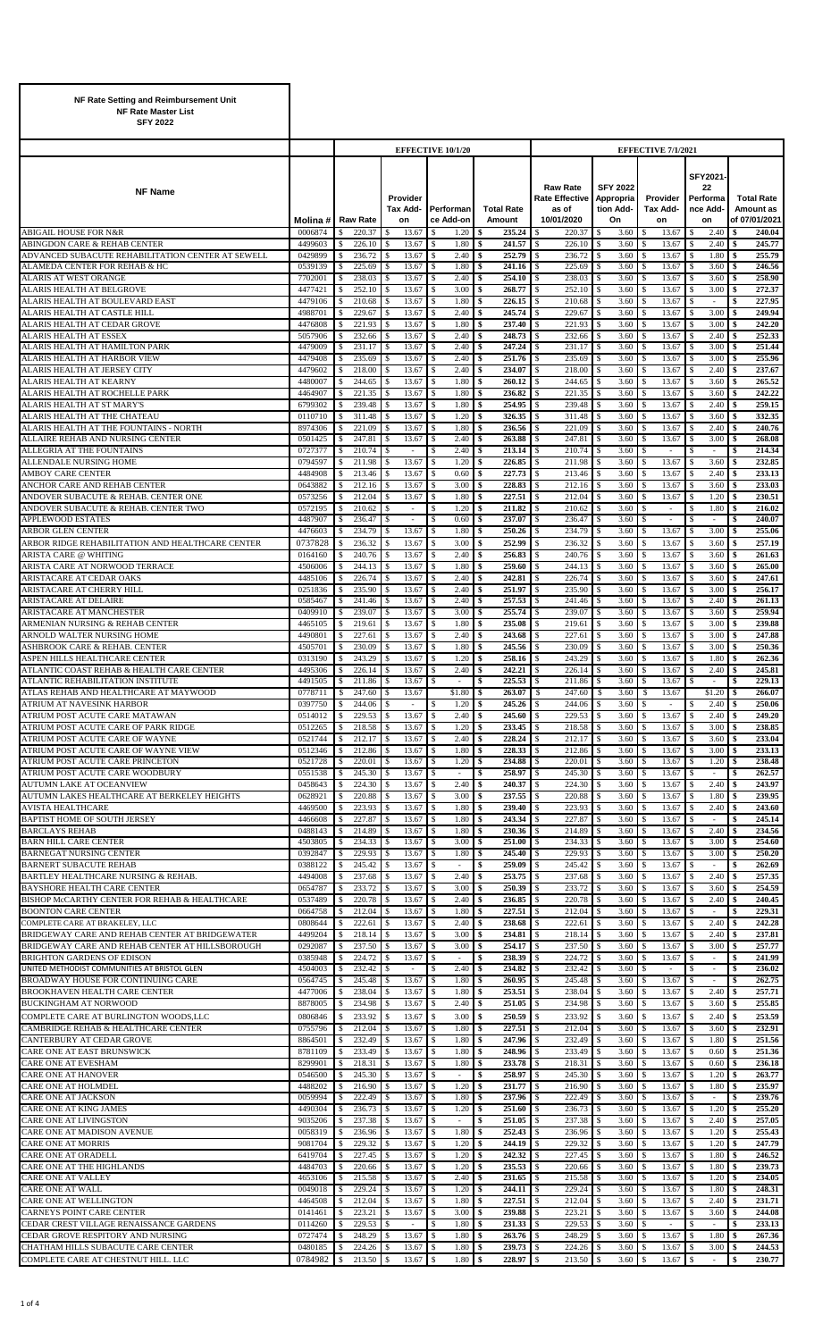| NF Rate Setting and Reimbursement Unit<br><b>NF Rate Master List</b><br><b>SFY 2022</b>           |                    |                                |                  |                                                |                                       |          |                             |                                                                 |                                                 |                                           |                                                            |                                                 |
|---------------------------------------------------------------------------------------------------|--------------------|--------------------------------|------------------|------------------------------------------------|---------------------------------------|----------|-----------------------------|-----------------------------------------------------------------|-------------------------------------------------|-------------------------------------------|------------------------------------------------------------|-------------------------------------------------|
|                                                                                                   |                    |                                |                  |                                                | <b>EFFECTIVE 10/1/20</b>              |          |                             |                                                                 |                                                 | EFFECTIVE 7/1/2021                        |                                                            |                                                 |
| <b>NF Name</b>                                                                                    | Molina #           |                                | <b>Raw Rate</b>  | Provider<br>Tax Add-<br>on                     | Performan<br>ce Add-on                |          | <b>Total Rate</b><br>Amount | <b>Raw Rate</b><br><b>Rate Effective</b><br>as of<br>10/01/2020 | <b>SFY 2022</b><br>Appropria<br>tion Add-<br>On | Provider<br>Tax Add-<br>on                | <b>SFY2021</b><br>22<br>Performa<br>nce Add-<br>on         | <b>Total Rate</b><br>Amount as<br>of 07/01/2021 |
| <b>ABIGAIL HOUSE FOR N&amp;R</b><br>ABINGDON CARE & REHAB CENTER                                  | 0006874<br>4499603 | \$<br>\$                       | 220.37<br>226.10 | 13.67<br>13.67                                 | \$<br>1.20<br>1.80<br><sup>\$</sup>   | \$<br>\$ | 235.24<br>241.57            | 220.37<br>S<br>226.10<br>S                                      | 3.60<br>3.60                                    | \$<br>13.67<br>13.67<br><sup>\$</sup>     | 2.40<br><sup>\$</sup><br>2.40                              | 240.04<br>\$<br>245.77<br>\$                    |
| ADVANCED SUBACUTE REHABILITATION CENTER AT SEWELL                                                 | 0429899            | \$                             | 236.72           | 13.67<br>\$.                                   | 2.40<br><sup>\$</sup>                 | \$       | 252.79                      | -S<br>236.72                                                    | 3.60                                            | 13.67<br>\$                               | 1.80<br>-S                                                 | 255.79<br>\$                                    |
| ALAMEDA CENTER FOR REHAB & HC<br><b>ALARIS AT WEST ORANGE</b>                                     | 0539139<br>7702001 | \$.<br>\$                      | 225.69<br>238.03 | 13.67<br>\$.<br>13.67                          | 1.80<br><sup>\$</sup><br>2.40<br>\$   | \$<br>\$ | 241.16<br>254.10            | 225.69<br>S<br>238.03<br>S                                      | 3.60<br>3.60                                    | 13.67<br><sup>\$</sup><br>13.67<br>\$     | 3.60<br>3.60                                               | 246.56<br>\$<br>258.90<br>\$                    |
| ALARIS HEALTH AT BELGROVE                                                                         | 4477421            | \$.                            | 252.10           | 13.67                                          | 3.00<br>\$                            | \$       | 268.77                      | 252.10<br>\$                                                    | 3.60                                            | 13.67<br>\$                               | 3.00                                                       | 272.37<br>\$                                    |
| ALARIS HEALTH AT BOULEVARD EAST                                                                   | 4479106            | \$                             | 210.68           | 13.67                                          | 1.80<br>-S                            | \$       | 226.15                      | 210.68<br>-S                                                    | 3.60                                            | 13.67<br>\$                               | $\overline{\phantom{a}}$                                   | 227.95<br>S                                     |
| ALARIS HEALTH AT CASTLE HILL<br>ALARIS HEALTH AT CEDAR GROVE                                      | 4988701<br>4476808 | \$<br>S                        | 229.67<br>221.93 | 13.67<br>13.67                                 | 2.40<br>1.80<br>\$                    | \$<br>\$ | 245.74<br>237.40            | 229.67<br>S.<br>221.93                                          | 3.60<br>3.60                                    | \$<br>13.67<br>13.67<br><sup>\$</sup>     | 3.00<br>3.00                                               | 249.94<br>\$<br>242.20<br>\$                    |
| <b>ALARIS HEALTH AT ESSEX</b>                                                                     | 5057906            | \$                             | 232.66           | 13.67                                          | 2.40<br>\$                            | \$       | 248.73                      | 232.66<br>S                                                     | 3.60                                            | 13.67<br>\$                               | 2.40<br>S                                                  | 252.33<br>\$                                    |
| ALARIS HEALTH AT HAMILTON PARK<br>ALARIS HEALTH AT HARBOR VIEW                                    | 4479009<br>4479408 | S.<br>\$                       | 231.17<br>235.69 | 13.67<br>13.67                                 | 2.40<br>\$.<br>2.40<br>\$             | \$<br>\$ | 247.24<br>251.76            | 231.17<br>S<br>235.69<br>S.                                     | 3.60<br>3.60                                    | 13.67<br>-S<br>13.67<br>\$                | 3.00<br>3.00                                               | 251.44<br>S<br>255.96<br>\$                     |
| ALARIS HEALTH AT JERSEY CITY                                                                      | 4479602            | \$.                            | 218.00           | 13.67                                          | 2.40<br>\$.                           | \$       | 234.07                      | 218.00<br>S                                                     | 3.60                                            | \$<br>13.67                               | 2.40                                                       | 237.67<br>\$                                    |
| <b>ALARIS HEALTH AT KEARNY</b><br>ALARIS HEALTH AT ROCHELLE PARK                                  | 4480007<br>4464907 | \$<br>S.                       | 244.65<br>221.35 | 13.67<br>13.67                                 | 1.80<br>\$<br>1.80<br>\$.             | \$<br>\$ | 260.12<br>236.82            | 244.65<br>\$<br>221.35<br>\$                                    | 3.60<br>3.60                                    | $\mathbb{S}$<br>13.67<br>13.67<br>\$      | 3.60<br>3.60                                               | \$<br>265.52<br>242.22<br>\$                    |
| ALARIS HEALTH AT ST MARY'S                                                                        | 6799302            | S                              | 239.48           | 13.67                                          | 1.80<br>-S                            | \$       | 254.95                      | 239.48<br>-S                                                    | 3.60                                            | 13.67<br>\$                               | 2.40                                                       | 259.15<br>\$                                    |
| ALARIS HEALTH AT THE CHATEAU                                                                      | 0110710            | \$                             | 311.48           | 13.67                                          | 1.20                                  | \$       | 326.35                      | S<br>311.48                                                     | 3.60                                            | \$<br>13.67                               | 3.60                                                       | 332.35<br>\$                                    |
| ALARIS HEALTH AT THE FOUNTAINS - NORTH<br>ALLAIRE REHAB AND NURSING CENTER                        | 8974306<br>0501425 | \$<br>\$                       | 221.09<br>247.81 | 13.67<br>13.67                                 | \$<br>1.80<br>2.40<br><sup>\$</sup>   | \$<br>\$ | 236.56<br>263.88            | 221.09<br>S<br>247.81<br>S.                                     | 3.60<br>3.60                                    | \$<br>13.67<br>13.67<br>\$                | 2.40<br>3.00                                               | \$<br>240.76<br>268.08<br>\$                    |
| <b>ALLEGRIA AT THE FOUNTAINS</b>                                                                  | 0727377            | \$                             | 210.74           | \$<br>$\sim$                                   | 2.40<br><sup>\$</sup>                 | \$       | 213.14                      | 210.74<br>S                                                     | 3.60                                            | <sup>\$</sup><br>÷                        | S<br>÷                                                     | 214.34<br>\$                                    |
| ALLENDALE NURSING HOME<br><b>AMBOY CARE CENTER</b>                                                | 0794597<br>4484908 | \$<br>\$                       | 211.98<br>213.46 | 13.67<br>\$.<br>13.67                          | 1.20<br>\$<br>0.60<br>\$              | \$<br>\$ | 226.85<br>227.73            | 211.98<br>-S<br>213.46<br>S                                     | 3.60<br>3.60                                    | \$<br>13.67<br>\$<br>13.67                | 3.60<br>-S<br>2.40                                         | 232.85<br>\$<br>233.13<br>\$                    |
| ANCHOR CARE AND REHAB CENTER                                                                      | 0643882            | \$                             | 212.16           | 13.67                                          | 3.00<br>-S                            | \$       | 228.83                      | 212.16<br>\$                                                    | 3.60                                            | 13.67<br>\$                               | 3.60                                                       | 233.03<br>\$                                    |
| ANDOVER SUBACUTE & REHAB. CENTER ONE                                                              | 0573256            | \$.                            | 212.04           | 13.67                                          | 1.80<br>\$.                           | \$       | 227.51                      | 212.04<br>\$.                                                   | 3.60                                            | <sup>\$</sup><br>13.67                    | 1.20                                                       | 230.51<br>\$                                    |
| ANDOVER SUBACUTE & REHAB. CENTER TWO<br><b>APPLEWOOD ESTATES</b>                                  | 0572195<br>4487907 | S<br>\$                        | 210.62<br>236.47 |                                                | \$<br>1.20<br>\$<br>0.60              | \$<br>\$ | 211.82<br>237.07            | <sup>\$</sup><br>210.62<br>236.47<br>S                          | 3.60<br>3.60                                    | $\mathcal{S}$<br>\$                       | 1.80                                                       | 216.02<br>\$<br>\$<br>240.07                    |
| <b>ARBOR GLEN CENTER</b>                                                                          | 4476603            | \$                             | 234.79           | 13.67<br>\$                                    | 1.80<br>\$                            | \$       | 250.26                      | 234.79<br>\$.                                                   | 3.60                                            | 13.67<br>\$                               | 3.00                                                       | 255.06<br>\$                                    |
| ARBOR RIDGE REHABILITATION AND HEALTHCARE CENTER<br>ARISTA CARE @ WHITING                         | 0737828<br>0164160 | \$<br>\$                       | 236.32<br>240.76 | 13.67<br>13.67                                 | 3.00<br><sup>\$</sup><br>2.40<br>\$   | \$<br>\$ | 252.99<br>256.83            | 236.32<br>S<br>240.76<br>S                                      | 3.60<br>3.60                                    | $\mathbb{S}$<br>13.67<br>13.67<br>\$      | 3.60<br>3.60<br>\$.                                        | 257.19<br>\$<br>261.63<br>\$                    |
| ARISTA CARE AT NORWOOD TERRACE                                                                    | 4506006            | S.                             | 244.13           | 13.67                                          | 1.80<br>-S                            | \$       | 259.60                      | 244.13<br>S                                                     | 3.60                                            | 13.67<br>\$                               | 3.60                                                       | 265.00<br>S                                     |
| <b>ARISTACARE AT CEDAR OAKS</b>                                                                   | 4485106            | \$.                            | 226.74           | 13.67<br>\$.                                   | 2.40<br><sup>\$</sup>                 | \$       | 242.81                      | 226.74<br>S                                                     | 3.60                                            | 13.67<br>\$                               | 3.60                                                       | 247.61<br>\$                                    |
| ARISTACARE AT CHERRY HILL<br><b>ARISTACARE AT DELAIRE</b>                                         | 0251836<br>0585467 | S<br>\$.                       | 235.90<br>241.46 | 13.67<br>13.67                                 | 2.40<br>\$<br>2.40<br>\$.             | \$<br>\$ | 251.97<br>257.53            | 235.90<br>S<br>241.46<br>\$.                                    | 3.60<br>3.60                                    | 13.67<br>\$<br>13.67<br>\$                | 3.00<br>2.40                                               | 256.17<br>\$<br>261.13<br>\$                    |
| ARISTACARE AT MANCHESTER                                                                          | 0409910            | \$                             | 239.07           | 13.67                                          | 3.00<br>-S                            | \$       | 255.74                      | 239.07<br>-S                                                    | 3.60                                            | 13.67<br>\$                               | 3.60                                                       | 259.94<br>S                                     |
| ARMENIAN NURSING & REHAB CENTER<br>ARNOLD WALTER NURSING HOME                                     | 4465105<br>4490801 | \$<br>\$                       | 219.61<br>227.61 | 13.67<br>13.67                                 | 1.80<br>\$.<br>2.40<br>\$.            | \$<br>\$ | 235.08<br>243.68            | 219.61<br>S.<br>227.61                                          | 3.60<br>3.60                                    | \$<br>13.67<br>13.67<br><sup>\$</sup>     | 3.00<br>S.<br>3.00                                         | 239.88<br>\$<br>247.88<br>\$                    |
| ASHBROOK CARE & REHAB. CENTER                                                                     | 4505701            | \$                             | 230.09           | 13.67                                          | 1.80<br>\$                            | \$       | 245.56                      | 230.09<br>S.                                                    | 3.60                                            | 13.67<br>\$                               | 3.00<br>-S                                                 | 250.36<br>\$                                    |
| ASPEN HILLS HEALTHCARE CENTER                                                                     | 0313190            | S                              | 243.29           | 13.67                                          | 1.20<br>\$                            | \$       | 258.16                      | 243.29                                                          | 3.60                                            | 13.67<br>-S                               | 1.80                                                       | 262.36<br>\$                                    |
| ATLANTIC COAST REHAB & HEALTH CARE CENTER<br>ATLANTIC REHABILITATION INSTITUTE                    | 4495306<br>4491505 | \$<br>$\overline{\phantom{a}}$ | 226.14<br>211.86 | 13.67<br>\$<br>13.67                           | 2.40<br><sup>\$</sup>                 | \$       | 242.21<br>225.53            | 226.14<br>-S<br>211.86                                          | 3.60<br>-S<br>3.60                              | $\mathbb{S}$<br>13.67<br>13.67            | 2.40<br><sup>\$</sup>                                      | 245.81<br>\$<br>229.13                          |
| ATLAS REHAB AND HEALTHCARE AT MAYWOOD                                                             | 0778711            | \$                             | 247.60           | 13.67<br>S                                     | \$1.80                                | \$       | 263.07                      | 247.60<br>\$                                                    | 3.60                                            | 13.67<br>\$                               | \$1.20                                                     | \$<br>266.07                                    |
| ATRIUM AT NAVESINK HARBOR<br>ATRIUM POST ACUTE CARE MATAWAN                                       | 0397750<br>0514012 | \$<br>S                        | 244.06<br>229.53 | ٠<br>13.67<br>\$.                              | 1.20<br>\$<br>2.40<br><sup>\$</sup>   | \$<br>\$ | 245.26<br>245.60            | 244.06<br>\$<br>229.53<br>-S                                    | 3.60<br>3.60                                    | <sup>\$</sup><br>$\sim$<br>13.67<br>\$    | 2.40<br>2.40                                               | 250.06<br>\$<br>249.20                          |
| ATRIUM POST ACUTE CARE OF PARK RIDGE                                                              | 0512265            | \$                             | 218.58           | 13.67                                          | 1.20                                  | \$       | 233.45                      | S<br>218.58                                                     | 3.60                                            | \$<br>13.67                               | 3.00                                                       | 238.85<br>\$                                    |
| ATRIUM POST ACUTE CARE OF WAYNE<br>ATRIUM POST ACUTE CARE OF WAYNE VIEW                           | 0521744<br>0512346 | <sup>\$</sup><br>S             | 212.17<br>212.86 | 13.67<br>13.67                                 | \$<br>2.40<br>1.80<br><sup>\$</sup>   | \$<br>\$ | 228.24<br>228.33            | 212.17<br>\$<br>212.86<br>-S                                    | 3.60<br>3.60                                    | <sup>\$</sup><br>13.67<br>13.67<br>\$     | 3.60<br>3.00                                               | 233.04<br>\$<br>233.13<br>\$                    |
| ATRIUM POST ACUTE CARE PRINCETON                                                                  | 0521728            | \$                             | 220.01           | 13.67<br>\$                                    | 1.20<br><sup>\$</sup>                 | \$       | 234.88                      | -S<br>220.01                                                    | 3.60                                            | 13.67<br>\$                               | 1.20<br>£.                                                 | 238.48<br>\$                                    |
| ATRIUM POST ACUTE CARE WOODBURY                                                                   | 0551538            | \$                             | 245.30           | 13.67<br>\$.                                   | \$<br>$\sim$<br>\$                    | \$       | 258.97                      | -S<br>245.30                                                    | 3.60                                            | \$<br>13.67                               | $\sim$                                                     | 262.57<br>\$                                    |
| AUTUMN LAKE AT OCEANVIEW<br>AUTUMN LAKES HEALTHCARE AT BERKELEY HEIGHTS                           | 0458643<br>0628921 | \$<br>\$                       | 224.30<br>220.88 | 13.67<br>13.67                                 | 2.40<br>3.00<br>-S                    | \$<br>\$ | 240.37<br>237.55            | 224.30<br>S<br>220.88<br>-S                                     | 3.60<br>3.60                                    | \$<br>13.67<br>13.67<br>\$                | 2.40<br>1.80                                               | \$<br>243.97<br>239.95<br>\$                    |
| <b>AVISTA HEALTHCARE</b>                                                                          | 4469500            | \$.                            | 223.93           | 13.67<br>\$.                                   | 1.80<br>\$                            | \$       | 239.40                      | 223.93<br>S.                                                    | 3.60                                            | <sup>\$</sup><br>13.67                    | 2.40                                                       | 243.60<br>\$                                    |
| <b>BAPTIST HOME OF SOUTH JERSEY</b><br><b>BARCLAYS REHAB</b>                                      | 4466608<br>0488143 | \$.<br>\$                      | 227.87<br>214.89 | 13.67<br>13.67                                 | 1.80<br>\$.<br>1.80<br>\$.            | \$<br>\$ | 243.34<br>230.36            | 227.87<br>S<br>214.89                                           | 3.60<br>3.60                                    | 13.67<br>\$.<br>\$<br>13.67               | 2.40                                                       | 245.14<br>S<br>234.56<br>\$                     |
| <b>BARN HILL CARE CENTER</b>                                                                      | 4503805            | \$                             | 234.33           | 13.67                                          | 3.00<br><sup>\$</sup>                 | \$       | 251.00                      | 234.33<br>S                                                     | 3.60                                            | 13.67<br>\$                               | 3.00<br>\$.                                                | 254.60<br>\$                                    |
| <b>BARNEGAT NURSING CENTER</b><br><b>BARNERT SUBACUTE REHAB</b>                                   | 0392847<br>0388122 | S<br>S                         | 229.93<br>245.42 | 13.67<br>13.67<br>\$.                          | 1.80<br>-S<br><sup>\$</sup><br>$\sim$ | \$<br>\$ | 245.40<br>259.09            | 229.93<br>-8<br>\$.<br>245.42                                   | 3.60<br>3.60                                    | 13.67<br>-\$<br>13.67<br><sup>\$</sup>    | 3.00<br>$\sim$                                             | 250.20<br>S<br>262.69<br>\$                     |
| BARTLEY HEALTHCARE NURSING & REHAB.                                                               | 4494008            | \$                             | 237.68           | 13.67                                          | 2.40<br>\$                            | \$       | 253.75                      | 237.68<br>-S                                                    | 3.60                                            | 13.67<br>\$                               | 2.40                                                       | 257.35<br>\$                                    |
| BAYSHORE HEALTH CARE CENTER<br>BISHOP McCARTHY CENTER FOR REHAB & HEALTHCARE                      | 0654787<br>0537489 | \$                             | 233.72<br>220.78 | 13.67<br>13.67                                 | 3.00<br>\$<br>2.40<br>-S              | \$<br>\$ | 250.39<br>236.85            | 233.72<br>\$<br>220.78<br>-S                                    | 3.60<br>3.60                                    | 13.67<br>\$<br>\$<br>13.67                | 3.60<br>2.40                                               | 254.59<br>\$<br>240.45<br>\$                    |
| <b>BOONTON CARE CENTER</b>                                                                        | 0664758            | S<br>S                         | 212.04           | 13.67                                          | 1.80                                  | \$       | 227.51                      | 212.04<br>S                                                     | 3.60                                            | \$<br>13.67                               |                                                            | 229.31<br>S                                     |
| COMPLETE CARE AT BRAKELEY, LLC                                                                    | 0808644            | \$.                            | 222.61           | 13.67                                          | 2.40<br>\$.                           | S        | 238.68                      | 222.61<br>-S                                                    | 3.60                                            | \$<br>13.67                               | 2.40                                                       | 242.28<br>\$                                    |
| BRIDGEWAY CARE AND REHAB CENTER AT BRIDGEWATER<br>BRIDGEWAY CARE AND REHAB CENTER AT HILLSBOROUGH | 4499204<br>0292087 | \$.<br>\$                      | 218.14<br>237.50 | 13.67<br>13.67                                 | 3.00<br>3.00<br><sup>\$</sup>         | \$<br>\$ | 234.81<br>254.17            | 218.14<br>S<br>237.50<br><sup>\$</sup>                          | 3.60<br>3.60                                    | \$<br>13.67<br>\$<br>13.67                | 2.40<br>3.00                                               | 237.81<br>\$<br>257.77<br>\$                    |
| BRIGHTON GARDENS OF EDISON                                                                        | 0385948            | S                              | 224.72           | 13.67                                          | \$<br>٠                               | \$       | 238.39                      | 224.72<br>-S                                                    | 3.60                                            | 13.67<br>\$                               | ٠                                                          | 241.99<br>\$                                    |
| UNITED METHODIST COMMUNITIES AT BRISTOL GLEN<br>BROADWAY HOUSE FOR CONTINUING CARE                | 4504003<br>0564745 | \$<br>\$                       | 232.42<br>245.48 | \$<br>$\overline{\phantom{a}}$<br>13.67<br>\$. | 2.40<br><sup>\$</sup><br>\$<br>1.80   | \$<br>\$ | 234.82<br>260.95            | 232.42<br>S<br>-S<br>245.48                                     | 3.60<br>3.60                                    | <sup>\$</sup><br>÷<br>\$<br>13.67         | $\overline{\phantom{a}}$<br>£.<br>$\overline{\phantom{a}}$ | \$<br>236.02<br>262.75<br>\$                    |
| <b>BROOKHAVEN HEALTH CARE CENTER</b>                                                              | 4477006            | \$                             | 238.04           | 13.67                                          | 1.80<br>\$                            | \$       | 253.51                      | 238.04<br>\$                                                    | 3.60                                            | 13.67<br>\$                               | 2.40                                                       | 257.71<br>\$                                    |
| <b>BUCKINGHAM AT NORWOOD</b>                                                                      | 8878005            | \$                             | 234.98           | 13.67                                          | \$<br>2.40                            | \$       | 251.05                      | 234.98<br>S.                                                    | 3.60                                            | 13.67<br>\$                               | 3.60<br>S                                                  | 255.85<br>\$                                    |
| COMPLETE CARE AT BURLINGTON WOODS,LLC<br>CAMBRIDGE REHAB & HEALTHCARE CENTER                      | 0806846<br>0755796 | \$<br>S                        | 233.92<br>212.04 | \$<br>13.67<br>13.67<br>S                      | <sup>\$</sup><br>3.00<br>1.80<br>\$   | \$<br>\$ | 250.59<br>227.51            | -S<br>233.92<br>212.04<br>-S                                    | 3.60<br>3.60                                    | <sup>\$</sup><br>13.67<br>13.67<br>\$     | 2.40<br>-S<br>3.60                                         | 253.59<br>\$<br>232.91<br>\$                    |
| CANTERBURY AT CEDAR GROVE                                                                         | 8864501            | S                              | 232.49           | 13.67                                          | 1.80<br>\$.                           | \$       | 247.96                      | 232.49                                                          | 3.60                                            | 13.67<br>-S                               | 1.80                                                       | 251.56<br>S                                     |
| CARE ONE AT EAST BRUNSWICK<br><b>CARE ONE AT EVESHAM</b>                                          | 8781109<br>8299901 | \$<br>S                        | 233.49<br>218.31 | 13.67<br>13.67                                 | 1.80<br>\$<br>1.80<br>\$              | \$<br>\$ | 248.96<br>233.78            | 233.49<br>-S<br>\$<br>218.31                                    | 3.60<br>3.60                                    | 13.67<br>\$<br>13.67<br>\$                | 0.60<br>0.60                                               | 251.36<br>\$<br>236.18<br>\$                    |
| <b>CARE ONE AT HANOVER</b>                                                                        | 0546500            | \$.                            | 245.30           | 13.67                                          | \$.<br>÷                              | S        | 258.97                      | 245.30<br>-S                                                    | 3.60                                            | 13.67<br>\$                               | 1.20                                                       | 263.77<br>S                                     |
| CARE ONE AT HOLMDEL                                                                               | 4488202            | \$                             | 216.90           | 13.67                                          | 1.20                                  | \$       | 231.77                      | 216.90<br>S                                                     | 3.60                                            | \$<br>13.67                               | 1.80                                                       | 235.97<br>S                                     |
| CARE ONE AT JACKSON<br>CARE ONE AT KING JAMES                                                     | 0059994<br>4490304 | \$<br>S                        | 222.49<br>236.73 | 13.67<br>13.67                                 | \$<br>1.80<br>1.20<br>\$              | \$<br>\$ | 237.96<br>251.60            | 222.49<br>\$<br>236.73<br>-S                                    | 3.60<br>3.60                                    | \$<br>13.67<br>13.67<br>\$                | $\overline{\phantom{a}}$<br>1.20<br>-S                     | 239.76<br>\$<br>255.20<br>\$                    |
| <b>CARE ONE AT LIVINGSTON</b>                                                                     | 9035206            | \$.                            | 237.38           | 13.67<br>\$                                    | <sup>\$</sup><br>÷                    | \$       | 251.05                      | 237.38<br>-S                                                    | 3.60                                            | 13.67<br><sup>\$</sup>                    | 2.40                                                       | 257.05<br>\$                                    |
| CARE ONE AT MADISON AVENUE<br><b>CARE ONE AT MORRIS</b>                                           | 0058319<br>9081704 | S<br>\$                        | 236.96<br>229.32 | 13.67<br>13.67                                 | 1.80<br><sup>\$</sup><br>\$<br>1.20   | \$<br>\$ | 252.43<br>244.19            | 236.96<br>-S<br>S<br>229.32                                     | 3.60<br>3.60                                    | \$<br>13.67<br>$\mathbb{S}$<br>13.67      | 1.20<br>1.20                                               | 255.43<br>\$<br>247.79<br>\$                    |
| CARE ONE AT ORADELL                                                                               | 6419704            | S                              | 227.45           | 13.67                                          | 1.20<br>\$                            | \$       | 242.32                      | 227.45<br>S.                                                    | 3.60                                            | 13.67<br>\$                               | 1.80<br>-S                                                 | 246.52<br>\$                                    |
| <b>CARE ONE AT THE HIGHLANDS</b><br>CARE ONE AT VALLEY                                            | 4484703<br>4653106 | \$.<br>\$.                     | 220.66<br>215.58 | 13.67<br>\$.<br>13.67                          | 1.20<br>\$.<br>2.40                   | \$<br>\$ | 235.53<br>231.65            | 220.66<br>-S<br><sup>\$</sup><br>215.58                         | 3.60<br>3.60                                    | \$<br>13.67<br><sup>\$</sup><br>13.67     | 1.80<br>1.20                                               | 239.73<br>\$<br>234.05<br>S                     |
| <b>CARE ONE AT WALL</b>                                                                           | 0049018            | \$                             | 229.24           | 13.67                                          | 1.20<br>\$                            | \$       | 244.11                      | 229.24<br>\$                                                    | 3.60                                            | $\mathbb{S}$<br>13.67                     | 1.80                                                       | 248.31<br>\$                                    |
| CARE ONE AT WELLINGTON<br>CARNEYS POINT CARE CENTER                                               | 4464508<br>0141461 | S<br>\$                        | 212.04<br>223.21 | 13.67<br>13.67<br>\$                           | 1.80<br><sup>\$</sup><br>3.00<br>\$   | \$<br>\$ | 227.51<br>239.88            | \$<br>212.04<br>223.21<br>-S                                    | 3.60<br>3.60                                    | 13.67<br>\$<br>13.67<br>\$                | 2.40<br>3.60                                               | 231.71<br>\$<br>244.08<br>\$                    |
| CEDAR CREST VILLAGE RENAISSANCE GARDENS                                                           | 0114260            | \$.                            | 229.53           | $\overline{\phantom{a}}$                       | 1.80<br>\$.                           | \$       | 231.33                      | 229.53<br>S.                                                    | 3.60                                            | <sup>\$</sup><br>$\overline{\phantom{a}}$ | $\sim$                                                     | 233.13<br>\$                                    |
| CEDAR GROVE RESPITORY AND NURSING                                                                 | 0727474            | \$                             | 248.29<br>224.26 | 13.67<br>\$.<br>\$                             | 1.80<br>\$                            | \$       | 263.76                      | -S<br>248.29<br>224.26                                          | 3.60                                            | 13.67<br>\$                               | 1.80                                                       | 267.36<br>\$<br>244.53                          |
| CHATHAM HILLS SUBACUTE CARE CENTER<br>COMPLETE CARE AT CHESTNUT HILL. LLC                         | 0480185<br>0784982 | \$<br>\$                       | 213.50           | 13.67<br>13.67                                 | \$<br>1.80<br>1.80<br><sup>\$</sup>   | \$<br>\$ | 239.73<br>228.97            | S.<br>S<br>213.50                                               | 3.60<br>3.60                                    | \$<br>13.67<br>$\mathcal{S}$<br>13.67     | 3.00<br>\$<br>\$<br>$\overline{\phantom{a}}$               | \$<br>230.77<br>\$                              |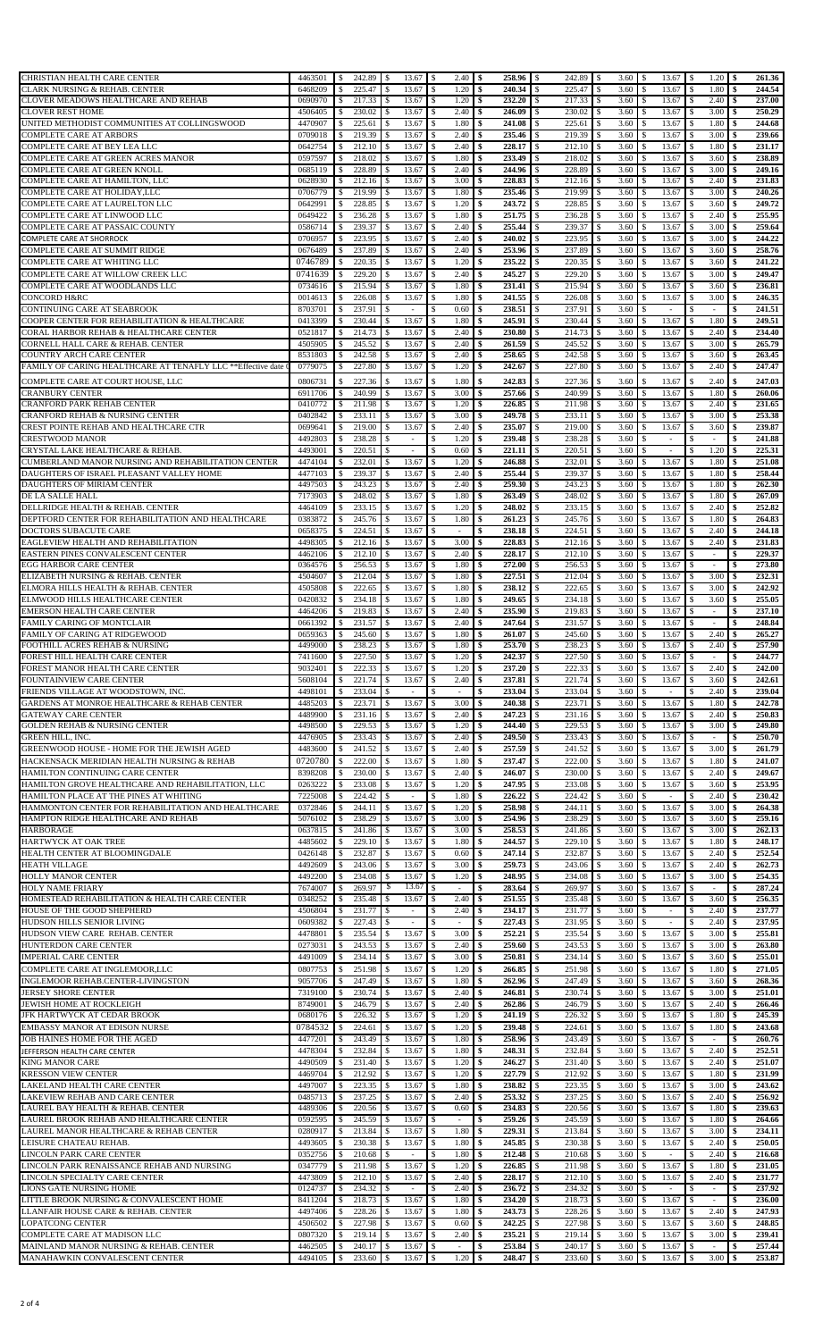| CHRISTIAN HEALTH CARE CENTER                                             | 4463501            | 242.89<br>-\$           | 13.67<br><b>S</b>        | $2.40 \,$ \$<br><b>S</b>        | 258.96 \$    | 242.89 \$               | $3.60$ \$             | 13.67 \$                        | 1.20                           | \$<br>261.36     |
|--------------------------------------------------------------------------|--------------------|-------------------------|--------------------------|---------------------------------|--------------|-------------------------|-----------------------|---------------------------------|--------------------------------|------------------|
| <b>CLARK NURSING &amp; REHAB. CENTER</b>                                 | 6468209            | 225.47<br>\$            | 13.67                    | 1.20<br><sup>\$</sup>           | 240.34<br>\$ | 225.47<br>-S            | 3.60<br><sup>\$</sup> | 13.67<br>\$                     | 1.80                           | 244.54           |
| CLOVER MEADOWS HEALTHCARE AND REHAB                                      | 0690970            | 217.33                  | 13.67                    | 1.20                            | 232.20<br>\$ | 217.33<br>-S            | 3.60<br>S             | 13.67                           | 2.40                           | 237.00           |
| <b>CLOVER REST HOME</b>                                                  | 4506405            | 230.02<br>\$            | 13.67                    | \$<br>2.40                      | \$<br>246.09 | $\mathbb{S}$<br>230.02  | 3.60<br>-S            | 13.67<br>\$.                    | 3.00                           | 250.29           |
| UNITED METHODIST COMMUNITIES AT COLLINGSWOOD                             | 4470907            | 225.61<br>\$            | 13.67                    | 1.80<br>-\$                     | 241.08<br>\$ | 225.61<br>-S            | 3.60<br>-S            | 13.67<br>\$                     | 1.80                           | 244.68           |
| COMPLETE CARE AT ARBORS                                                  | 0709018            | 219.39<br>s.            | 13.67                    | 2.40<br>-\$                     | 235.46<br>\$ | -S<br>219.39            | 3.60<br>-S            | 13.67<br>\$                     | 3.00<br>S                      | 239.66           |
| COMPLETE CARE AT BEY LEA LLC                                             | 0642754            | 212.10<br>-S            | 13.67                    | 2.40<br>-S                      | 228.17<br>\$ | 212.10<br>S             | 3.60<br>S             | 13.67<br>\$.                    | 1.80                           | 231.17           |
| COMPLETE CARE AT GREEN ACRES MANOR                                       | 0597597            | 218.02<br><sup>\$</sup> | 13.67                    | 1.80<br>-\$                     | 233.49<br>\$ | 218.02<br>S.            | 3.60<br>\$            | \$<br>13.67                     | 3.60<br>\$                     | 238.89           |
| COMPLETE CARE AT GREEN KNOLL                                             | 0685119            | 228.89<br>S             | 13.67                    | 2.40<br>\$                      | 244.96<br>\$ | 228.89<br>\$            | 3.60<br>S.            | 13.67<br>\$.                    | 3.00                           | 249.16           |
| COMPLETE CARE AT HAMILTON, LLC                                           | 0628930            | 212.16<br>\$            | 13.67                    | 3.00<br>-8                      | 228.83<br>\$ | 212.16<br>-S            | 3.60<br>-S            | 13.67<br>\$                     | 2.40                           | 231.83           |
| COMPLETE CARE AT HOLIDAY, LLC                                            | 0706779            | 219.99                  | 13.67                    | 1.80<br><sup>\$</sup>           | 235.46<br>\$ | \$.<br>219.99           | 3.60<br>S             | 13.67                           | 3.00                           | 240.26           |
| COMPLETE CARE AT LAURELTON LLC                                           | 0642991            | 228.85<br>\$            | 13.67                    | 1.20<br>-\$                     | \$<br>243.72 | 228.85<br>\$            | 3.60<br>\$            | 13.67<br>\$                     | 3.60                           | 249.72           |
| COMPLETE CARE AT LINWOOD LLC                                             | 0649422            | 236.28                  | 13.67                    | 1.80<br>-\$                     | 251.75<br>\$ | S.<br>236.28            | 3.60<br>\$            | 13.67<br>\$.                    | 2.40                           | 255.95           |
| COMPLETE CARE AT PASSAIC COUNTY                                          | 0586714            | 239.37<br>-S            | 13.67                    | 2.40<br>-S                      | 255.44<br>\$ | 239.37<br>-S            | 3.60<br>-S            | 13.67<br>\$.                    | 3.00                           | 259.64           |
| COMPLETE CARE AT SHORROCK                                                | 0706957            | 223.95<br>-S            | 13.67                    | 2.40<br>-S                      | \$<br>240.02 | 223.95<br>-S            | 3.60<br>\$            | 13.67<br>\$                     | 3.00<br>\$                     | 244,22           |
| COMPLETE CARE AT SUMMIT RIDGE                                            | 0676489            | 237.89<br>S             | 13.67                    | 2.40<br>\$                      | 253.96<br>\$ | 237.89<br>S             | 3.60                  | 13.67<br>S                      | 3.60                           | 258.76           |
| COMPLETE CARE AT WHITING LLC                                             | 0746789            | 220.35                  | 13.67                    | 1.20<br>-\$                     | \$<br>235.22 | 220.35<br>S             | \$<br>3.60            | 13.67<br>\$.                    | 3.60<br><sup>\$</sup>          | 241.22           |
| COMPLETE CARE AT WILLOW CREEK LLC                                        | 0741639            | \$<br>229.20            | 13.67                    | <sup>\$</sup><br>2.40           | 245.27<br>\$ | -S<br>229.20            | 3.60<br>S.            | 13.67<br>\$.                    | 3.00<br>S                      | 249.47           |
| COMPLETE CARE AT WOODLANDS LLC                                           | 0734616            | 215.94<br>-S            | 13.67                    | 1.80<br>-\$                     | \$<br>231.41 | 215.94<br>S.            | 3.60<br>S             | 13.67<br>\$.                    | 3.60<br>\$                     | 236.81           |
| <b>CONCORD H&amp;RC</b>                                                  | 0014613            | 226.08                  | 13.67                    | 1.80<br>-\$                     | 241.55<br>\$ | \$<br>226.08            | 3.60                  | 13.67<br>S                      | 3.00                           | 246.35           |
| CONTINUING CARE AT SEABROOK                                              | 8703701            | 237.91<br>-S            | $\overline{\phantom{a}}$ | 0.60<br>-\$                     | 238.51<br>\$ | 237.91<br>-S            | 3.60<br>\$            | <sup>\$</sup><br>$\sim$         | $\overline{\phantom{a}}$       | 241.51           |
| COOPER CENTER FOR REHABILITATION & HEALTHCARE                            | 0413399            | 230.44<br>-S            | 13.67                    | 1.80<br>-\$                     | 245.91<br>£. | S.<br>230.44            | 3.60<br>S             | 13.67<br>\$.                    | 1.80                           | 249.51           |
| CORAL HARBOR REHAB & HEALTHCARE CENTER                                   | 0521817            | 214.73                  | 13.67                    | 2.40                            | 230.80<br>\$ | 214.73<br>-S            | 3.60<br>-S            | 13.67<br>S                      | 2.40                           | 234.40           |
| CORNELL HALL CARE & REHAB. CENTER                                        | 4505905            | 245.52                  | 13.67                    | 2.40<br>\$                      | \$<br>261.59 | S<br>245.52             | 3.60                  | 13.67<br>\$                     | 3.00                           | 265.79           |
| COUNTRY ARCH CARE CENTER                                                 | 8531803            | 242.58<br>\$            | 13.67                    | 2.40<br>-\$                     | 258.65<br>\$ | 242.58<br>S             | 3.60<br>S             | 13.67<br>\$                     | 3.60                           | 263.45           |
| FAMILY OF CARING HEALTHCARE AT TENAFLY LLC **Effective date              | 0779075            | 227.80                  | 13.67                    | 1.20<br>- \$                    | 242.67<br>£. | 227.80<br>-S            | 3.60<br>-S            | 13.67<br>\$.                    | 2.40<br>-S                     | 247.47           |
|                                                                          |                    |                         |                          |                                 |              |                         |                       |                                 |                                |                  |
| COMPLETE CARE AT COURT HOUSE, LLC                                        | 0806731            | 227.36<br>\$            | 13.67                    | 1.80<br>\$                      | \$<br>242.83 | <sup>\$</sup><br>227.36 | 3.60<br>S             | 13.67<br>\$                     | 2.40<br>s                      | 247.03           |
| <b>CRANBURY CENTER</b>                                                   | 6911706            | 240.99                  | 13.67                    | 3.00<br>\$                      | 257.66<br>\$ | 240.99<br>\$            | 3.60<br>£.            | 13.67<br>\$                     | 1.80                           | 260.06           |
| CRANFORD PARK REHAB CENTER                                               | 0410772            | 211.98<br><sup>\$</sup> | 13.67                    | 1.20<br>-\$                     | 226.85<br>\$ | 211.98<br>-S            | 3.60<br>S             | 13.67<br>\$                     | 2.40                           | 231.65           |
| CRANFORD REHAB & NURSING CENTER                                          | 0402842            | 233.11                  | 13.67                    | <sup>\$</sup><br>3.00           | 249.78<br>\$ | <sup>\$</sup><br>233.11 | 3.60<br>S             | 13.67                           | 3.00                           | 253.38           |
| CREST POINTE REHAB AND HEALTHCARE CTR                                    | 0699641            | 219.00<br>\$            | 13.67                    | 2.40<br>\$                      | \$<br>235.07 | \$<br>219.00            | 3.60<br><sup>\$</sup> | 13.67<br>\$                     | 3.60                           | 239.87           |
| <b>CRESTWOOD MANOR</b>                                                   | 4492803            | 238.28<br>\$            | -S<br>$\sim$             | 1.20<br>\$                      | 239.48<br>\$ | 238.28<br>\$            | 3.60<br>\$            | \$<br>$\overline{\phantom{a}}$  |                                | 241.88           |
| CRYSTAL LAKE HEALTHCARE & REHAB.                                         | 4493001            | 220.51<br>-S            | $\overline{a}$           | 0.60<br>-S                      | 221.11<br>\$ | 220.51<br>-S            | 3.60<br>S             | \$.<br>÷                        | 1.20<br>-S                     | 225.31           |
| CUMBERLAND MANOR NURSING AND REHABILITATION CENTER                       | 4474104            | 232.01<br>-S            | 13.67<br>-S              | 1.20<br>-\$                     | 246.88<br>\$ | 232.01<br>S             | 3.60<br>\$            | 13.67<br>\$                     | 1.80<br>\$                     | 251.08           |
| DAUGHTERS OF ISRAEL PLEASANT VALLEY HOME                                 | 4477103            | 239.37<br>S             | 13.67                    | 2.40<br>\$                      | 255.44<br>\$ | 239.37<br>S             | 3.60<br>S             | 13.67<br>S                      | 1.80                           | 258.44           |
| DAUGHTERS OF MIRIAM CENTER                                               | 4497503            | 243.23<br>-S            | 13.67                    | 2.40<br>-\$                     | 259.30<br>\$ | 243.23<br>-S            | 3.60<br>\$            | 13.67<br><sup>\$</sup>          | 1.80<br>\$                     | 262.30           |
| DE LA SALLE HALL                                                         | 7173903            | 248.02<br>-S            | 13.67                    | 1.80<br>-S                      | 263.49<br>-S | 248.02<br>S             | 3.60<br>-S            | 13.67<br>\$.                    | 1.80                           | 267.09           |
| DELLRIDGE HEALTH & REHAB. CENTER                                         | 4464109            | 233.15<br>\$            | 13.67                    | 1.20<br>-8                      | 248.02<br>\$ | 233.15<br>-S            | 3.60<br>-S            | 13.67<br>\$.                    | 2.40                           | 252.82           |
| DEPTFORD CENTER FOR REHABILITATION AND HEALTHCARE                        | 0383872            | 245.76                  | 13.67                    | 1.80<br>\$                      | 261.23<br>\$ | S<br>245.76             | 3.60                  | 13.67<br>S                      | 1.80                           | 264.83           |
| DOCTORS SUBACUTE CARE                                                    | 0658375            | 224.51<br>\$            | 13.67                    | -\$<br>$\overline{\phantom{a}}$ | \$<br>238.18 | 224.51<br>\$            | 3.60<br>S             | 13.67<br>\$                     | 2.40                           | 244.18           |
| EAGLEVIEW HEALTH AND REHABILITATION                                      | 4498305            | 212.16                  | 13.67                    | 3.00<br>-\$                     | 228.83<br>\$ | -S<br>212.16            | 3.60<br>S             | 13.67<br>\$.                    | 2.40                           | 231.83           |
| EASTERN PINES CONVALESCENT CENTER                                        | 4462106            | 212.10<br>\$            | 13.67                    | 2.40<br><sup>\$</sup>           | \$<br>228.17 | 212.10<br>-S            | 3.60<br>S             | 13.67<br>\$                     | £.<br>÷                        | 229.37<br>\$     |
| <b>EGG HARBOR CARE CENTER</b>                                            | 0364576            | 256.53                  | 13.67                    | 1.80<br>-S                      | 272.00<br>\$ | 256.53<br>-S            | 3.60<br>S             | 13.67<br>\$.                    | -S<br>$\overline{\phantom{a}}$ | 273.80           |
| ELIZABETH NURSING & REHAB. CENTER                                        | 4504607            | 212.04<br>\$            | 13.67                    | $\mathbb{S}$<br>1.80            | 227.51<br>\$ | S<br>212.04             | 3.60<br>\$            | 13.67<br>\$                     | 3.00                           | 232.31           |
| ELMORA HILLS HEALTH & REHAB. CENTER                                      | 4505808            | 222.65                  | 13.67                    | 1.80<br>-\$                     | 238.12<br>\$ | 222.65<br>-S            | 3.60<br>\$            | 13.67<br><sup>\$</sup>          | 3.00                           | 242.92           |
| ELMWOOD HILLS HEALTHCARE CENTER                                          | 0420832            | 234.18                  | 13.67                    | 1.80<br>-S                      | 249.65<br>\$ | 234.18<br>-S            | 3.60<br>-S            | 13.67<br>S                      | 3.60                           | 255.05           |
| <b>EMERSON HEALTH CARE CENTER</b>                                        | 4464206            | 219.83<br>\$            | 13.67                    | 2.40                            | 235.90<br>\$ | \$<br>219.83            | 3.60<br>S             | 13.67                           | $\overline{\phantom{a}}$       | 237.10           |
| FAMILY CARING OF MONTCLAIR                                               | 0661392            | 231.57                  | 13.67                    | \$<br>2.40                      | \$<br>247.64 | 231.57<br>S.            | 3.60<br>\$            | 13.67<br>\$.                    |                                | 248.84<br>\$     |
| FAMILY OF CARING AT RIDGEWOOD                                            | 0659363            | 245.60<br>S.            | 13.67                    | 1.80<br>-\$                     | \$<br>261.07 | -S<br>245.60            | 3.60<br>S             | 13.67<br>\$                     | 2.40                           | 265.27           |
| FOOTHILL ACRES REHAB & NURSING                                           | 4499000            | 238.23                  | 13.67                    | 1.80<br>-\$                     | 253.70<br>\$ | 238.23<br>-S            | 3.60<br><sup>\$</sup> | 13.67<br>\$.                    | 2.40<br>S                      | 257.90           |
| FOREST HILL HEALTH CARE CENTER                                           | 7411600            | 227.50<br>-S            | 13.67<br>S               | 1.20<br><sup>\$</sup>           | \$<br>242.37 | 227.50<br>S             | 3.60<br>£.            | 13.67<br>\$                     |                                | 244.77           |
| FOREST MANOR HEALTH CARE CENTER                                          | 9032401            | l \$<br>222.33 \$       | 13.67                    | ıз<br>$1.20$   \$               | 237.20 S     |                         | $3.60 \pm 1$          | 13.67 \$                        | 2.40                           | l S<br>242.00    |
| FOUNTAINVIEW CARE CENTER                                                 | 5608104            | 221.74<br>\$            | 13.67<br>-S              | $2.40 \, \text{S}$<br>-\$       |              | 221.74                  | <sup>\$</sup><br>3.60 | 13.67<br>\$                     | \$<br>3.60                     | 242.61<br>-\$    |
| FRIENDS VILLAGE AT WOODSTOWN, INC.                                       | 4498101            | 233.04<br>S             | $\overline{\phantom{a}}$ | $\sim$                          | 233.04<br>\$ | 233.04<br>-S            | 3.60<br>\$            | S<br>$\sim$                     | 2.40                           | 239.04           |
| GARDENS AT MONROE HEALTHCARE & REHAB CENTER                              | 4485203            | 223.71                  | 13.67                    | 3.00<br><sup>\$</sup>           | \$<br>240.38 | 223.71<br>\$.           | 3.60<br>S             | 13.67                           | 1.80                           | 242.78           |
| <b>GATEWAY CARE CENTER</b>                                               | 4489900            | 231.16                  | 13.67                    | 2.40                            | 247.23<br>\$ | 231.16<br>S             | 3.60                  | 13.67<br>\$                     | 2.40                           | 250.83           |
| <b>GOLDEN REHAB &amp; NURSING CENTER</b>                                 | 4498500            | 229.53                  | 13.67                    | 1.20<br>-\$                     | 244.40<br>\$ | 229.53<br>\$            | 3.60<br>\$            | 13.67<br>\$                     | 3.00                           | 249.80           |
| <b>GREEN HILL, INC.</b>                                                  | 4476905            | 233.43<br>-S            | 13.67                    | 2.40<br>-S                      | 249.50<br>\$ | 233.43<br>S.            | 3.60<br>S             | 13.67                           |                                | 250.70           |
| GREENWOOD HOUSE - HOME FOR THE JEWISH AGED                               | 4483600            | 241.52                  | 13.67                    | 2.40<br>-S                      | 257.59<br>\$ | 241.52<br>S             | 3.60<br><sup>\$</sup> | 13.67<br>\$.                    | 3.00<br>-S                     | 261.79           |
|                                                                          |                    |                         |                          |                                 |              |                         |                       |                                 |                                |                  |
| HACKENSACK MERIDIAN HEALTH NURSING & REHAB                               | 0720780            | 222.00<br>\$            | 13.67                    | <sup>\$</sup><br>1.80           | 237.47<br>\$ | 222.00<br>S             | 3.60<br>£.            | 13.67<br>\$.                    | 1.80<br>S                      | 241.07           |
| HAMILTON CONTINUING CARE CENTER                                          | 8398208            | 230.00                  | 13.67                    | 2.40<br>-S                      | \$<br>246.07 | 230.00<br>S             | 3.60<br>S             | 13.67<br>\$                     | 2.40<br>S                      | 249.67           |
| HAMILTON GROVE HEALTHCARE AND REHABILITATION, LLC                        | 0263222            | 233.08                  | 13.67                    | 1.20<br><sup>\$</sup>           | 247.95<br>\$ | 233.08<br>S             | 3.60                  | 13.67<br>S                      | 3.60                           | 253.95           |
| HAMILTON PLACE AT THE PINES AT WHITING                                   | 7225008            | 224.42                  | $\overline{\phantom{a}}$ | 1.80<br>\$                      | 226.22<br>\$ | 224.42<br>-S            | 3.60                  | $\overline{\phantom{a}}$        | 2.40                           | 230.42           |
| HAMMONTON CENTER FOR REHABILITATION AND HEALTHCARE                       | 0372846            | 244.11                  | 13.67                    | 1.20<br>-\$                     | 258.98<br>£. | 244.11<br>-S            | 3.60<br>-S            | 13.67<br>\$.                    | 3.00                           | 264.38           |
| HAMPTON RIDGE HEALTHCARE AND REHAB                                       | 5076102            | 238.29<br>S             | 13.67                    | 3.00<br>-8                      | 254.96<br>\$ | 238.29<br>-S            | 3.60<br>S             | 13.67<br>S                      | 3.60                           | 259.16           |
| <b>HARBORAGE</b>                                                         | 0637815            | 241.86                  | 13.67                    | 3.00                            | 258.53<br>\$ | 241.86                  | 3.60                  | 13.67                           | 3.00                           | 262.13           |
| HARTWYCK AT OAK TREE                                                     | 4485602            | 229.10<br>\$            | 13.67                    | 1.80<br>-\$                     | \$<br>244.57 | 229.10<br>S.            | 3.60<br><sup>\$</sup> | 13.67<br>\$                     | 1.80                           | 248.17           |
| HEALTH CENTER AT BLOOMINGDALE                                            | 0426148            | 232.87                  | 13.67                    | 0.60<br>-\$                     | 247.14<br>\$ | 232.87<br>S.            | 3.60<br>S             | 13.67<br>\$.                    | 2.40                           | 252.54           |
| <b>HEATH VILLAGE</b>                                                     | 4492609            | 243.06<br>\$            | 13.67                    | 3.00<br><sup>\$</sup>           | \$<br>259.73 | 243.06<br>-S            | 3.60<br>£.            | 13.67<br>\$                     | 2.40                           | 262.73           |
| <b>HOLLY MANOR CENTER</b>                                                | 4492200            | 234.08                  | 13.67                    | 1.20<br>-S                      | 248.95<br>\$ | 234.08<br>S             | 3.60<br>-S            | 13.67                           | 3.00                           | 254.35           |
| <b>HOLY NAME FRIARY</b>                                                  | 7674007            | 269.97                  | 13.67<br>S               | $\mathbf{s}$<br>$\sim$          | \$<br>283.64 | 269.97<br>\$            | 3.60                  | 13.67<br>\$                     | $\sim$                         | 287.24           |
| HOMESTEAD REHABILITATION & HEALTH CARE CENTER                            | 0348252            | 235.48                  | 13.67                    | 2.40<br>-\$                     | 251.55<br>\$ | 235.48<br>-S            | 3.60<br>\$            | 13.67<br>\$                     | 3.60<br>\$                     | 256.35           |
| HOUSE OF THE GOOD SHEPHERD                                               | 4506804            | 231.77                  | $\sim$                   | 2.40<br>-S                      | 234.17<br>\$ | 231.77<br>S.            | 3.60<br>S             | S<br>$\overline{\phantom{a}}$   | 2.40                           | 237.77           |
| HUDSON HILLS SENIOR LIVING                                               | 0609382            | 227.43                  |                          |                                 | 227.43       | <sup>\$</sup><br>231.95 | 3.60                  |                                 | 2.40                           | 237.95           |
| HUDSON VIEW CARE REHAB. CENTER                                           | 4478801            | 235.54                  | 13.67                    | \$<br>3.00                      | \$<br>252.21 | 235.54<br>\$            | 3.60<br>\$            | 13.67<br>\$.                    | 3.00                           | 255.81           |
| HUNTERDON CARE CENTER                                                    | 0273031            | 243.53<br>-8            | 13.67                    | 2.40<br>-\$                     | 259.60<br>\$ | 243.53<br>-S            | 3.60<br>S             | 13.67                           | 3.00                           | 263.80           |
| <b>IMPERIAL CARE CENTER</b>                                              | 4491009            | 234.14<br>\$            | 13.67                    | 3.00<br>-\$                     | 250.81<br>\$ | 234.14<br>-S            | 3.60<br><sup>\$</sup> | 13.67<br>\$.                    | 3.60<br>S                      | 255.01           |
| COMPLETE CARE AT INGLEMOOR, LLC                                          | 0807753            | $\mathbf{s}$<br>251.98  | 13.67                    | \$<br>1.20                      | 266.85<br>\$ | 251.98<br>S             | 3.60<br>\$            | 13.67<br>\$.                    | 1.80<br>S                      | 271.05           |
| INGLEMOOR REHAB.CENTER-LIVINGSTON                                        | 9057706            | 247.49                  | 13.67                    | 1.80<br>-\$                     | 262.96<br>\$ | 247.49<br>-S            | 3.60<br>-S            | 13.67<br>\$.                    | 3.60                           | 268.36           |
| <b>JERSEY SHORE CENTER</b>                                               | 7319100            | 230.74<br>\$            | 13.67                    | 2.40<br><sup>\$</sup>           | 246.81<br>\$ | 230.74<br>-S            | 3.60<br>S.            | 13.67<br>\$                     | 3.00<br>S.                     | 251.01           |
| JEWISH HOME AT ROCKLEIGH                                                 | 8749001            | 246.79                  | 13.67                    | 2.40<br>-S                      | 262.86<br>\$ | 246.79<br>-S            | 3.60<br>S             | 13.67<br>\$.                    | 2.40<br>S                      | 266.46           |
| JFK HARTWYCK AT CEDAR BROOK                                              | 0680176            | 226.32                  | 13.67                    | 1.20<br>\$                      | \$<br>241.19 | 226.32<br>\$            | 3.60                  | 13.67                           | 1.80                           | 245.39           |
| EMBASSY MANOR AT EDISON NURSE                                            | 0784532            | 224.61<br>\$            | 13.67                    | 1.20<br>$\mathbf{s}$            | \$<br>239.48 | <sup>\$</sup><br>224.61 | 3.60<br>S             | 13.67<br>\$                     | 1.80<br>\$                     | 243.68           |
| JOB HAINES HOME FOR THE AGED                                             | 4477201            | 243.49<br>S             | 13.67                    | 1.80<br><sup>\$</sup>           | \$<br>258.96 | 243.49<br>\$            | 3.60                  | 13.67<br>\$                     | $\sim$                         | 260.76           |
| JEFFERSON HEALTH CARE CENTER                                             | 4478304            | 232.84                  | 13.67                    | 1.80<br>-\$                     | 248.31<br>\$ | 232.84<br>-S            | 3.60<br>\$            | 13.67<br>\$                     | 2.40                           | 252.51           |
| <b>KING MANOR CARE</b>                                                   | 4490509            | 231.40                  | 13.67                    | 1.20<br>-S                      | 246.27<br>\$ | 231.40<br>\$.           | 3.60<br>S             | 13.67<br>S                      | 2.40                           | 251.07           |
| <b>KRESSON VIEW CENTER</b>                                               | 4469704            | 212.92                  | 13.67                    | 1.20                            | 227.79       | S<br>212.92             | 3.60                  | 13.67                           | 1.80                           | 231.99           |
| LAKELAND HEALTH CARE CENTER                                              | 4497007            | 223.35                  | 13.67                    | 1.80<br>-\$                     | 238.82<br>\$ | 223.35<br>\$            | 3.60<br><sup>\$</sup> | 13.67<br>\$                     | 3.00                           | 243.62           |
| LAKEVIEW REHAB AND CARE CENTER                                           | 0485713            | 237.25<br>$\mathcal{S}$ | 13.67                    | 2.40<br>-\$                     | 253.32<br>\$ | 237.25<br>-S            | 3.60<br>S             | 13.67<br>\$                     | 2.40                           | 256.92           |
| LAUREL BAY HEALTH & REHAB. CENTER                                        | 4489306            | 220.56<br>\$            | 13.67                    | 0.60<br>-\$                     | \$<br>234.83 | 220.56<br>-S            | 3.60<br><sup>\$</sup> | 13.67<br>\$.                    | 1.80<br><sup>\$</sup>          | 239.63           |
| LAUREL BROOK REHAB AND HEALTHCARE CENTER                                 | 0592595            | 245.59                  | 13.67                    | -S<br>$\sim$                    | 259.26<br>\$ | 245.59<br>-S            | 3.60                  | 13.67                           | 1.80                           | 264.66           |
| LAUREL MANOR HEALTHCARE & REHAB CENTER                                   | 0280917            | 213.84<br>\$            | 13.67                    | 1.80<br>-\$                     | \$<br>229.31 | 213.84<br>-S            | 3.60<br>\$            | 13.67<br>\$.                    | 3.00<br>\$                     | 234.11           |
| LEISURE CHATEAU REHAB.                                                   | 4493605            | 230.38                  | 13.67                    | 1.80<br>\$                      | 245.85<br>\$ | 230.38<br>\$            | 3.60<br>S.            | 13.67<br>S                      | 2.40                           | 250.05           |
| LINCOLN PARK CARE CENTER                                                 | 0352756            | 210.68<br>- S           | $\overline{\phantom{a}}$ | 1.80<br>-S                      | 212.48<br>\$ | 210.68<br>-S            | 3.60<br>S             | \$.<br>$\overline{\phantom{a}}$ | 2.40                           | 216.68           |
| LINCOLN PARK RENAISSANCE REHAB AND NURSING                               | 0347779            | 211.98                  | 13.67                    | 1.20<br>-S                      | 226.85<br>\$ | 211.98<br>S             | 3.60                  | 13.67                           | 1.80                           | 231.05           |
| LINCOLN SPECIALTY CARE CENTER                                            | 4473809            | 212.10                  | 13.67                    | 2.40                            | 228.17<br>\$ | S<br>212.10             | 3.60                  | 13.67<br>\$                     | 2.40                           | 231.77           |
| LIONS GATE NURSING HOME                                                  | 0124737            | 234.32<br>£.            |                          | 2.40<br>\$                      | 236.72<br>\$ | 234.32<br>S             | 3.60<br>\$            | \$.                             |                                | 237.92           |
|                                                                          |                    |                         |                          |                                 | 234.20       | 218.73<br>-S            | 3.60<br>S             | 13.67<br>\$.                    |                                | 236.00           |
| LITTLE BROOK NURSING & CONVALESCENT HOME                                 | 8411204            | 218.73<br>-S            | 13.67                    | 1.80<br>-S                      | \$           |                         |                       |                                 |                                |                  |
| LLANFAIR HOUSE CARE & REHAB. CENTER                                      | 4497406            | 228.26                  | 13.67                    | 1.80<br>- \$                    | 243.73<br>\$ | 228.26<br>-S            | 3.60<br><sup>\$</sup> | 13.67<br>\$                     | 2.40<br>S                      | 247.93           |
| <b>LOPATCONG CENTER</b>                                                  | 4506502            | 227.98                  | 13.67                    | 0.60<br>\$                      | 242.25<br>\$ | 227.98<br>\$            | 3.60                  | 13.67<br>\$.                    | 3.60                           | 248.85           |
| COMPLETE CARE AT MADISON LLC                                             | 0807320            | 219.14                  | 13.67                    | 2.40<br>-\$                     | 235.21<br>\$ | 219.14<br>-S            | 3.60<br>S.            | 13.67<br>\$                     | 3.00                           | 239.41           |
| MAINLAND MANOR NURSING & REHAB. CENTER<br>MANAHAWKIN CONVALESCENT CENTER | 4462505<br>4494105 | 240.17<br>233.60        | 13.67<br>13.67           | -S<br>٠<br>1.20                 | 253.84<br>\$ | S<br>240.17<br>233.60   | 3.60<br>S<br>3.60     | 13.67<br>\$.<br>13.67           | 3.00                           | 257.44<br>253.87 |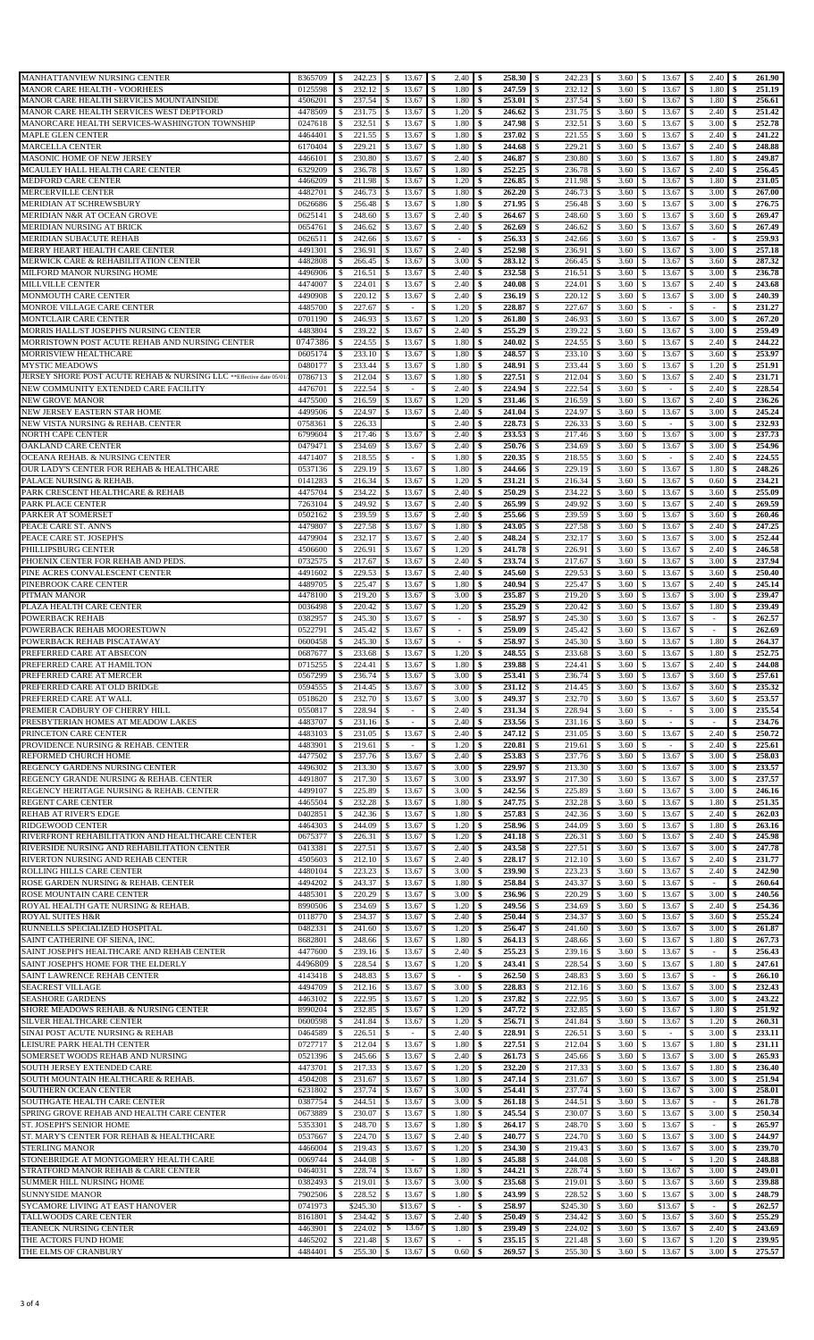| MANHATTANVIEW NURSING CENTER                                           | 8365709            | $\mathcal{S}$       | $242.23$ \$      | 13.67                                            | $2.40$ \$<br>-\$                   | $258.30$ S              | $242.23$ \$                       |                                  | $3.60 \, \text{S}$                        | 2.40                       | 261.90<br>-\$          |
|------------------------------------------------------------------------|--------------------|---------------------|------------------|--------------------------------------------------|------------------------------------|-------------------------|-----------------------------------|----------------------------------|-------------------------------------------|----------------------------|------------------------|
| MANOR CARE HEALTH - VOORHEES                                           | 0125598            | \$                  | 232.12           | 13.67<br>-\$                                     | 1.80<br>\$                         | 247.59                  | 232.12 \$<br>-S                   | 3.60                             | 13.67<br>\$                               | 1.80                       | 251.19                 |
| MANOR CARE HEALTH SERVICES MOUNTAINSIDE                                | 4506201            | \$                  | 237.54           | 13.67<br>-S                                      | 1.80<br>\$                         | 253.01                  | 237.54 \$<br>$\blacksquare$       | 3.60                             | 13.67<br><sup>\$</sup>                    | 1.80<br>-S                 | 256.61                 |
| MANOR CARE HEALTH SERVICES WEST DEPTFORD                               | 4478509            | .S                  | 231.75           | 13.67<br>-S                                      | \$<br>1.20                         | 246.62                  | \$<br>231.75                      | <b>S</b><br>3.60                 | 13.67                                     | 2.40                       | 251.42                 |
| MANORCARE HEALTH SERVICES-WASHINGTON TOWNSHIP                          | 0247618            | \$                  | 232.51           | 13.67<br><sup>\$</sup>                           | $\mathbb{S}$<br>1.80               | 247.98                  | $\mathbb{S}$<br>232.51            | $\sqrt{3}$<br>3.60               | 13.67<br>\$                               | 3.00<br>-\$                | 252.78                 |
| MAPLE GLEN CENTER<br>MARCELLA CENTER                                   | 4464401<br>6170404 | <sup>\$</sup><br>\$ | 221.55<br>229.21 | 13.67<br>-S<br>13.67<br><sup>\$</sup>            | 1.80<br>\$<br>$\mathbf S$<br>1.80  | 237.02<br>244.68        | 221.55 \$<br>-S<br>229.21<br>-S   | 3.60<br>3.60<br><b>S</b>         | 13.67<br>-S<br>13.67<br>\$                | 2.40<br>2.40<br>S          | 241.22<br>248.88       |
| MASONIC HOME OF NEW JERSEY                                             | 4466101            | S.                  | 230.80           | -S<br>13.67                                      | 2.40<br>\$                         | 246.87                  | 230.80 \$<br>\$                   | 3.60                             | 13.67<br>\$                               | 1.80<br>-S                 | 249.87                 |
| MCAULEY HALL HEALTH CARE CENTER                                        | 6329209            | \$                  | 236.78           | 13.67                                            | 1.80<br>\$                         | 252,25                  | 236.78<br>\$                      | 3.60<br>-\$                      | 13.67                                     | 2.40                       | 256.45                 |
| MEDFORD CARE CENTER                                                    | 4466209            | \$                  | 211.98           | 13.67<br>-S                                      | 1.20<br>\$                         | 226.85                  | 211.98 \$<br>l \$                 | 3.60                             | 13.67<br>\$                               | 1.80<br>-S                 | 231.05                 |
| <b>MERCERVILLE CENTER</b>                                              | 4482701            | \$                  | 246.73           | 13.67<br>-S                                      | 1.80<br>-\$                        | 262,20                  | 246.73<br>-S                      | 3.60<br>-\$                      | 13.67<br>.S                               | 3.00                       | 267.00                 |
| MERIDIAN AT SCHREWSBURY                                                | 0626686            | S                   | 256.48           | 13.67                                            | 1.80<br>-\$                        | 271.95                  | \$<br>256.48                      | 3.60<br>-\$                      | 13.67                                     | 3.00                       | 276.75                 |
| MERIDIAN N&R AT OCEAN GROVE                                            | 0625141            | \$                  | 248.60           | 13.67                                            | $\mathbb{S}$<br>2.40               | 264.67                  | <sup>\$</sup><br>248.60           | 3.60<br>-\$                      | 13.67<br><sup>\$</sup>                    | 3.60                       | 269.47                 |
| MERIDIAN NURSING AT BRICK                                              | 0654761            | \$                  | 246.62           | 13.67<br>-S                                      | 2.40<br>-S                         | 262.69                  | 246.62<br>-S                      | 3.60<br>-\$                      | 13.67<br>\$                               | 3.60<br>\$                 | 267.49                 |
| MERIDIAN SUBACUTE REHAB                                                | 0626511            | -S                  | 242.66<br>236.91 | 13.67<br>-S<br>13.67<br>-S                       | -\$<br>$\sim$<br>2.40              | 256.33<br>252.98        | 242.66<br>-S<br>236.91<br>-S      | 3.60<br>l \$<br>3.60             | 13.67<br>.S<br>13.67<br>\$.               | -S<br>3.00                 | 259.93<br>257.18       |
| MERRY HEART HEALTH CARE CENTER<br>MERWICK CARE & REHABILITATION CENTER | 4491301<br>4482808 | \$<br>\$            | 266.45           | 13.67<br>-S                                      | \$<br>3.00<br>-\$                  | 283.12                  | 266.45<br>-S                      | -S<br>3.60<br>l \$               | 13.67<br>.S                               | 3.60<br>-S                 | 287.32                 |
| MILFORD MANOR NURSING HOME                                             | 4496906            | \$                  | 216.51           | 13.67<br>-S                                      | 2.40<br>\$                         | 232.58                  | 216.51<br>-S                      | 3.60<br>-\$                      | 13.67<br>S                                | 3.00                       | 236.78                 |
| MILLVILLE CENTER                                                       | 4474007            | -S                  | 224.01           | 13.67<br>- \$                                    | 2.40<br>-\$                        | 240.08                  | 224.01<br>l \$                    | 3.60<br>$\blacksquare$           | 13.67<br>-S                               | 2.40<br>-S                 | 243.68                 |
| MONMOUTH CARE CENTER                                                   | 4490908            | \$                  | 220.12           | 13.67<br>-S                                      | $\mathbb{S}$<br>2.40               | 236.19                  | $220.12$ \$<br>-S                 | 3.60                             | 13.67                                     | 3.00                       | 240.39                 |
| MONROE VILLAGE CARE CENTER                                             | 4485700            | \$                  | 227.67           | $\overline{a}$                                   | 1.20<br>-\$                        | 228.87                  | \$<br>227.67                      | 3.60<br>- \$                     | S                                         |                            | 231.27                 |
| MONTCLAIR CARE CENTER                                                  | 0701190            | \$                  | 246.93           | 13.67<br>-S                                      | 1.20<br>\$                         | 261.80<br>-S            | 246.93 \$<br>-S                   | 3.60                             | 13.67<br>\$                               | 3.00<br><sup>\$</sup>      | 267.20<br>\$           |
| MORRIS HALL/ST JOSEPH'S NURSING CENTER                                 | 4483804            | \$                  | 239.22           | 13.67<br>.S                                      | 2.40<br>-S                         | 255.29                  | 239.22<br>-S                      | 3.60<br>- \$                     | 13.67<br>\$                               | 3.00                       | 259.49                 |
| MORRISTOWN POST ACUTE REHAB AND NURSING CENTER                         | 0747386            | \$                  | 224.55           | $\mathbb{S}$<br>13.67                            | $\mathbb{S}$<br>1.80               | 240.02<br>\$            | $\sqrt{S}$<br>224.55 \$           | 3.60                             | 13.67<br>\$                               | 2.40<br>\$                 | 244.22<br>\$           |
| <b>MORRISVIEW HEALTHCARE</b>                                           | 0605174            | \$                  | 233.10           | 13.67<br>-S                                      | 1.80<br>-S                         | 248.57                  | 233.10<br>-S                      | 3.60<br>l \$                     | 13.67<br>S                                | 3.60                       | 253.97                 |
| MYSTIC MEADOWS                                                         | 0480177            | \$                  | 233.44           | 13.67<br><sup>\$</sup>                           | 1.80<br>-S                         | 248.91                  | 233.44<br>-S                      | 3.60<br>l \$                     | 13.67<br><sup>\$</sup>                    | 1.20<br><sup>\$</sup>      | 251.91                 |
| JERSEY SHORE POST ACUTE REHAB & NURSING LLC **Effective date 05/01/    | 0786713            | S.                  | 212.04           | 13.67                                            | \$<br>1.80                         | 227.51                  | 212.04<br>S                       | 3.60<br>-S                       | 13.67                                     | 2.40                       | 231.71                 |
| NEW COMMUNITY EXTENDED CARE FACILITY                                   | 4476701            | \$                  | 222.54           | $\sim$                                           | 2.40<br>\$                         | $224.94$ \ \$           | $222.54$ \$                       | 3.60                             | <sup>\$</sup><br>$\sim$                   | 2.40<br>\$                 | 228.54                 |
| <b>NEW GROVE MANOR</b>                                                 | 4475500            | \$                  | 216.59           | 13.67<br>-S                                      | 1.20<br>\$                         | 231.46                  | 216.59<br>S.                      | 3.60<br><sup>\$</sup>            | 13.67<br>.S                               | 2.40                       | 236.26                 |
| NEW JERSEY EASTERN STAR HOME                                           | 4499506            | \$                  | 224.97           | 13.67<br>-S                                      | 2.40<br>-\$                        | 241.04                  | 224.97<br>S.                      | 3.60<br>-S                       | 13.67<br>S                                | 3.00<br>\$                 | 245.24                 |
| NEW VISTA NURSING & REHAB. CENTER                                      | 0758361            |                     | 226.33           |                                                  | \$<br>2.40                         | 228.73                  | \$.<br>226.33                     | 3.60<br>-\$                      |                                           | 3.00                       | 232.93                 |
| NORTH CAPE CENTER<br><b>OAKLAND CARE CENTER</b>                        | 6799604<br>0479471 | \$<br>-S            | 217.46<br>234.69 | 13.67<br>\$<br>13.67<br>-S                       | $\mathbb{S}$<br>2.40<br>2.40<br>\$ | 233.53<br>250.76        | l \$<br>234.69 \$<br>-S           | 3.60<br>3.60                     | 13.67<br>\$<br>13.67<br>-S                | 3.00<br>-\$<br>3.00        | 237.73<br>254.96       |
| OCEANA REHAB. & NURSING CENTER                                         | 4471407            | \$                  | 218.55           | <sup>\$</sup><br>$\sim$                          | $\mathbf S$<br>1.80                | 220.35                  | 218.55<br>-S                      | 3.60<br>l \$                     | \$<br>÷                                   | 2.40<br>\$                 | 224.55                 |
| OUR LADY'S CENTER FOR REHAB & HEALTHCARE                               | 0537136            | S.                  | 229.19           | 13.67<br>-S                                      | \$<br>1.80                         | 244.66                  | 229.19 \$<br>S                    | 3.60                             | 13.67<br>S                                | <sup>\$</sup><br>1.80      | 248.26                 |
| PALACE NURSING & REHAB.                                                | 0141283            | \$                  | 216.34           | 13.67<br><sup>\$</sup>                           | $\mathbb{S}$<br>1.20               | 231.21                  | <sup>\$</sup><br>216.34           | 3.60<br><sup>\$</sup>            | 13.67<br>\$                               | 0.60<br>\$                 | 234.21                 |
| PARK CRESCENT HEALTHCARE & REHAB                                       | 4475704            | \$                  | 234.22           | 13.67<br>-S                                      | 2.40<br>\$                         | 250.29                  | 234.22<br>-S                      | 3.60<br>l \$                     | 13.67<br>\$                               | 3.60<br><sup>\$</sup>      | 255.09                 |
| PARK PLACE CENTER                                                      | 7263104            | \$                  | 249.92           | 13.67<br>-S                                      | 2.40<br>$\mathbb{S}$               | 265.99                  | 249.92<br>\$                      | 3.60<br><sup>\$</sup>            | 13.67<br>.S                               | 2.40                       | 269.59                 |
| PARKER AT SOMERSET                                                     | 0502162            | \$                  | 239.59           | 13.67<br>-S                                      | 2.40<br>-\$                        | 255.66                  | 239.59 \$<br>-S                   | 3.60                             | 13.67<br>.S                               | 3.60                       | 260.46                 |
| PEACE CARE ST. ANN'S                                                   | 4479807            | S                   | 227.58           | 13.67                                            | 1.80<br>\$                         | 243.05                  | 227.58<br>\$                      | 3.60<br>-\$                      | 13.67<br>S                                | 2.40                       | 247.25                 |
| PEACE CARE ST. JOSEPH'S                                                | 4479904            | \$                  | 232.17           | 13.67<br>-S                                      | 2.40<br>-S                         | 248.24                  | 232.17<br>-S                      | 3.60<br>-\$                      | 13.67<br>\$                               | 3.00                       | 252.44                 |
| PHILLIPSBURG CENTER                                                    | 4506600            | -S                  | 226.91           | 13.67<br>-8                                      | \$<br>1.20                         | 241.78                  | 226.91<br>-S                      | 3.60<br>IS.                      | 13.67<br>.S                               | 2.40<br>S                  | 246.58                 |
| PHOENIX CENTER FOR REHAB AND PEDS.                                     | 0732575            | \$                  | 217.67           | 13.67<br>-S                                      | 2.40<br>\$                         | 233.74                  | S<br>217.67                       | 3.60<br>\$                       | 13.67<br>\$.                              | 3.00                       | 237.94                 |
| PINE ACRES CONVALESCENT CENTER                                         | 4491602            | \$                  | 229.53           | 13.67<br>-S                                      | 2.40<br>-\$                        | 245.60                  | 229.53<br>-S                      | 3.60<br>-\$                      | 13.67<br>\$                               | 3.60<br>-S                 | 250.40                 |
| PINEBROOK CARE CENTER                                                  | 4489705            | \$                  | 225.47           | 13.67<br>-S                                      | 1.80<br>\$                         | 240.94                  | 225.47<br>\$                      | 3.60<br>-S                       | 13.67                                     | 2.40                       | 245.14                 |
| PITMAN MANOR                                                           | 4478100            | \$                  | 219.20           | 13.67<br>-8                                      | 3.00<br>-\$                        | 235.87                  | 219.20<br>-S                      | 3.60<br>-\$                      | 13.67<br>-S                               | 3.00                       | 239.47                 |
| PLAZA HEALTH CARE CENTER                                               | 0036498            | .S                  | 220.42           | 13.67<br>-S                                      | 1.20<br>\$                         | 235.29                  | 220.42<br>-S                      | 3.60<br>-\$                      | 13.67                                     | 1.80                       | 239.49                 |
| POWERBACK REHAB                                                        | 0382957            | \$                  | 245.30           | 13.67                                            | $\overline{\phantom{a}}$           | 258.97                  | 245.30                            | 3.60<br>-\$                      | 13.67                                     | $\overline{\phantom{a}}$   | 262.57                 |
| POWERBACK REHAB MOORESTOWN<br>POWERBACK REHAB PISCATAWAY               | 0522791<br>0600458 | \$<br><sup>\$</sup> | 245.42<br>245.30 | 13.67<br><sup>\$</sup><br>13.67<br><sup>\$</sup> | \$<br>-\$                          | 259.09<br>258.97<br>-\$ | 245.42<br>-S<br>245.30<br>-S      | 3.60<br><b>S</b><br>3.60<br>- \$ | 13.67<br><sup>\$</sup><br>13.67<br>.S     | 1.80                       | 262.69<br>264.37       |
| PREFERRED CARE AT ABSECON                                              | 0687677            | \$                  | 233.68           | $\mathbb{S}$<br>13.67                            | $\mathbb{S}$<br>1.20               | \$<br>248.55            | 233.68 \$<br><b>S</b>             | 3.60                             | $\mathbb{S}$<br>13.67                     | 1.80<br>-S                 | 252.75<br>-\$          |
| PREFERRED CARE AT HAMILTON                                             | 0715255 \$         |                     | 224.41           | $\mathbf{s}$<br>13.67                            | $1.80 \,$ \$                       |                         | $224.41$ S                        |                                  | 3.60S<br>13.67                            | 2.40                       | 244.08                 |
| PREFERRED CARE AT MERCER                                               | 0567299            | \$                  | 236.74           | -S<br>13.67                                      | 3.00<br>\$                         | 253.41 S<br><b>S</b>    | 236.74 \$                         | 3.60                             | 13.67<br>$\sqrt{5}$                       | 3.60<br>$\mathbf{\hat{s}}$ | 257.61<br>-\$          |
| PREFERRED CARE AT OLD BRIDGE                                           | 0594555            | \$                  | 214.45           | 13.67<br>-\$                                     | 3.00<br>\$                         |                         | 214.45 \$                         | 3.60                             | 13.67<br>-S                               | 3.60                       | 235.32                 |
| PREFERRED CARE AT WALL                                                 | 0518620            | \$                  | 232.70           | 13.67<br>-S                                      | 3.00<br>-\$                        | 249.37 \$               | 232.70 \$                         | 3.60                             | 13.67<br>.S                               | 3.60                       | 253.57                 |
| PREMIER CADBURY OF CHERRY HILL                                         | 0550817            | S                   | 228.94           | -S<br>$\overline{\phantom{a}}$                   | \$<br>2.40                         | 231.34                  | 228.94<br>\$                      | -\$<br>3.60                      |                                           | 3.00                       | 235.54                 |
| PRESBYTERIAN HOMES AT MEADOW LAKES                                     | 4483707            | \$                  | 231.16           | \$<br>$\overline{\phantom{a}}$                   | 2.40<br>\$                         | 233.56                  | 231.16<br>S,                      | 3.60<br><b>S</b>                 | $\mathcal{S}$                             |                            | 234.76                 |
| PRINCETON CARE CENTER                                                  | 4483103            | \$                  | 231.05           | 13.67<br>\$                                      | 2.40<br>\$                         | 247.12                  | 231.05 \$<br><sup>S</sup>         | 3.60                             | 13.67<br><sup>\$</sup>                    | 2.40<br>\$                 | 250.72                 |
| PROVIDENCE NURSING & REHAB. CENTER                                     | 4483901            | S.                  | 219.61           | $\sim$<br>-S                                     | -S<br>1.20                         | 220.81                  | 219.61<br>\$                      | l \$<br>3.60                     | \$<br>$\sim$                              | 2.40<br>S                  | 225.61                 |
| REFORMED CHURCH HOME                                                   | 4477502            | \$                  | 237.76           | -\$<br>13.67                                     | 2.40<br>\$                         | 253.83                  | 237.76 \$<br>S,                   | 3.60                             | \$<br>13.67                               | 3.00<br>-S                 | 258.03                 |
| REGENCY GARDENS NURSING CENTER                                         | 4496302            | \$                  | 213.30           | 13.67                                            | 3.00<br>\$                         | 229.97                  | 213.30<br>\$                      | 3.60<br>-\$                      | 13.67<br>S                                | 3.00                       | 233.57                 |
| REGENCY GRANDE NURSING & REHAB. CENTER                                 | 4491807            | \$                  | 217.30           | 13.67<br>-S                                      | 3.00<br>\$                         | 233.97                  | 217.30 \$<br>-S                   | 3.60                             | 13.67<br>\$                               | 3.00<br>-S                 | 237.57                 |
| REGENCY HERITAGE NURSING & REHAB. CENTER<br>REGENT CARE CENTER         | 4499107<br>4465504 | \$                  | 225.89<br>232.28 | 13.67<br>-8<br>13.67<br>-S                       | \$<br>3.00<br>1.80                 | 242.56<br>247.75        | 225.89<br>-S<br>232.28            | 3.60<br>-\$<br>3.60              | 13.67<br>-S<br>13.67<br>S                 | 3.00<br>S<br>1.80          | 246.16<br>251.35       |
| REHAB AT RIVER'S EDGE                                                  | 0402851            | \$<br>\$            | 242.36           | 13.67                                            | -\$<br>\$<br>1.80                  | 257.83                  | -S<br>242.36<br>-S                | l \$<br>3.60<br>- \$             | 13.67<br>S                                | 2.40                       | 262.03                 |
| RIDGEWOOD CENTER                                                       | 4464303            | \$                  | 244.09           | 13.67<br>-S                                      | 1.20<br>\$                         | 258.96                  | 244.09<br>S,                      | 3.60<br><b>S</b>                 | 13.67<br>\$                               | 1.80<br>-S                 | 263.16                 |
| RIVERFRONT REHABILITATION AND HEALTHCARE CENTER                        | 0675377            | -S                  | 226.31           | 13.67<br>-S                                      | 1.20<br>-\$                        | 241.18                  | 226.31<br>l S                     | 3.60<br>$\blacksquare$           | 13.67<br>-S                               | 2.40<br>-S                 | 245.98                 |
| RIVERSIDE NURSING AND REHABILITATION CENTER                            | 0413381            | \$                  | 227.51           | 13.67<br>-S                                      | 2.40<br>\$                         | 243.58                  | 227.51<br>-S                      | 3.60<br>-S                       | 13.67<br>\$.                              | 3.00                       | 247.78                 |
| RIVERTON NURSING AND REHAB CENTER                                      | 4505603            | \$                  | 212.10           | 13.67<br>-S                                      | 2.40<br>-\$                        | 228.17                  | 212.10 \$<br>-S                   | 3.60                             | 13.67<br>S                                | 2.40<br>- \$               | 231.77                 |
| ROLLING HILLS CARE CENTER                                              | 4480104            | \$                  | 223.23           | 13.67<br>-S                                      | 3.00<br>\$                         | 239.90                  | 223.23<br>-S                      | -\$<br>3.60                      | 13.67<br>S                                | 2.40                       | 242.90                 |
| ROSE GARDEN NURSING & REHAB. CENTER                                    | 4494202            | \$                  | 243.37           | 13.67<br>-S                                      | 1.80<br>-\$                        | 258.84                  | 243.37 \$<br>-S                   | 3.60                             | 13.67<br>\$                               | $\sim$                     | 260.64                 |
| ROSE MOUNTAIN CARE CENTER                                              | 4485301            | \$                  | 220.29           | 13.67<br>-8                                      | 3.00<br>-\$                        | 236.96                  | 220.29<br>-S                      | 3.60<br>- \$                     | 13.67<br>.S                               | 3.00                       | 240.56                 |
| ROYAL HEALTH GATE NURSING & REHAB.                                     | 8990506            | \$                  | 234.69           | 13.67<br>-8                                      | 1.20<br>-\$                        | 249.56                  | 234.69<br>-S                      | 3.60<br>- \$                     | 13.67<br>\$                               | 2.40                       | 254.36                 |
| ROYAL SUITES H&R                                                       | 0118770            | \$                  | 234.37           | 13.67<br><sup>\$</sup>                           | 2.40<br>\$                         | 250.44<br>-\$           | 234.37 \$<br>-S                   | 3.60                             | 13.67<br>\$                               | 3.60<br>-\$                | 255.24                 |
| RUNNELLS SPECIALIZED HOSPITAL                                          | 0482331            | \$                  | 241.60           | 13.67<br>-S                                      | 1.20<br>-S                         | 256.47                  | -S<br>241.60                      | l \$<br>3.60                     | 13.67<br>.S                               | 3.00                       | 261.87                 |
| SAINT CATHERINE OF SIENA, INC.                                         | 8682801            | \$                  | 248.66<br>239.16 | -S<br>13.67                                      | 1.80<br>-S                         | 264.13<br>\$<br>255.23  | -S<br>248.66<br>239.16            | l \$<br>3.60                     | 13.67<br>\$<br>\$.                        | 1.80<br>-S                 | 267.73<br>\$<br>256.43 |
| SAINT JOSEPH'S HEALTHCARE AND REHAB CENTER                             | 4477600            | \$<br>s.            | 228.54           | 13.67<br>-S<br>-S                                | 2.40<br>\$<br>1.20                 | S.                      | S<br><sup>\$</sup>                | 3.60<br>-S                       | 13.67<br><sup>\$</sup>                    | $\sim$                     |                        |
| SAINT JOSEPH'S HOME FOR THE ELDERLY<br>SAINT LAWRENCE REHAB CENTER     | 4496809<br>4143418 | S.                  | 248.83           | 13.67<br>13.67                                   | -S<br><sup>\$</sup><br>$\sim$      | 243.41<br>262.50        | 228.54 \$<br>248.83<br>-S         | 3.60<br>3.60<br>-S               | 13.67<br>13.67                            | $\mathbb{S}$<br>1.80       | 247.61<br>-S<br>266.10 |
| <b>SEACREST VILLAGE</b>                                                | 4494709            | \$                  | 212.16           | 13.67<br>-\$                                     | 3.00<br>-\$                        | 228.83 \$               | 212.16 \$                         | 3.60                             | 13.67<br>\$                               | 3.00<br>-S                 | 232.43                 |
| <b>SEASHORE GARDENS</b>                                                | 4463102            | \$                  | 222.95           | 13.67<br>-\$                                     | 1.20<br>-\$                        | 237.82                  | 222.95<br>-S                      | <sup>\$</sup><br>3.60            | 13.67<br>.S                               | 3.00<br>S.                 | 243.22                 |
| SHORE MEADOWS REHAB. & NURSING CENTER                                  | 8990204            | \$                  | 232.85           | 13.67<br>-S                                      | 1.20<br>-S                         | 247.72                  | 232.85 \$<br>-S                   | 3.60                             | 13.67<br>.S                               | 1.80<br>\$                 | 251.92                 |
| SILVER HEALTHCARE CENTER                                               | 0600598            | .S                  | 241.84           | 13.67<br>-S                                      | \$<br>1.20                         | 256.71                  | \$<br>241.84                      | -\$<br>3.60                      | 13.67                                     | 1.20                       | 260.31                 |
| SINAI POST ACUTE NURSING & REHAB                                       | 0464589            | \$                  | 226.51           | \$<br>$\overline{\phantom{a}}$                   | 2.40<br>\$                         | 228.91                  | 226.51<br>S.                      | 3.60<br>$\overline{1}$           | <sup>\$</sup><br>$\overline{\phantom{a}}$ | 3.00                       | 233.11                 |
| LEISURE PARK HEALTH CENTER                                             | 0727717            | -S                  | 212.04           | 13.67<br>-S                                      | 1.80<br>\$                         | 227.51                  | 212.04 \$<br>-S                   | 3.60                             | 13.67<br>\$                               | 1.80<br><sup>\$</sup>      | 231.11                 |
| SOMERSET WOODS REHAB AND NURSING                                       | 0521396            | \$                  | 245.66           | 13.67<br>-S                                      | 2.40<br>-S                         | 261.73                  | -S<br>245.66                      | 3.60<br>-S                       | 13.67<br>\$.                              | 3.00<br>S                  | 265.93                 |
| SOUTH JERSEY EXTENDED CARE                                             | 4473701            | \$                  | 217.33           | -S<br>13.67                                      | \$<br>1.20                         | 232.20                  | $217.33$ \$<br>-S                 | 3.60                             | 13.67<br>.S                               | 1.80<br>\$                 | 236.40                 |
| SOUTH MOUNTAIN HEALTHCARE & REHAB.                                     | 4504208            | \$                  | 231.67           | 13.67<br>-S                                      | 1.80<br>\$                         | 247.14                  | 231.67<br>\$                      | 3.60<br>-\$                      | 13.67<br>S                                | 3.00                       | 251.94                 |
| SOUTHERN OCEAN CENTER                                                  | 6231802            | \$                  | 237.74           | 13.67<br>-S                                      | 3.00<br>-\$                        |                         | 237.74                            | 3.60<br>l \$                     | 13.67<br>\$                               | 3.00<br>\$                 | 258.01                 |
| SOUTHGATE HEALTH CARE CENTER                                           | 0387754            | \$                  | 244.51           | 13.67<br>-S                                      | -\$<br>3.00                        | 261.18                  | 244.51<br>-S                      | 3.60<br>- \$                     | 13.67<br>-S                               | $\sim$                     | 261.78                 |
| SPRING GROVE REHAB AND HEALTH CARE CENTER                              | 0673889            | \$                  | 230.07           | 13.67<br>-S                                      | 1.80<br>-\$                        | 245.54                  | 230.07<br>-S                      | 3.60<br>l \$                     | 13.67<br>.S                               | 3.00                       | 250.34                 |
| ST. JOSEPH'S SENIOR HOME                                               | 5353301            | S                   | 248.70           | 13.67                                            | \$<br>1.80                         | 264.17                  | \$<br>248.70                      | -\$<br>3.60                      | 13.67<br>S                                |                            | 265.97                 |
| ST. MARY'S CENTER FOR REHAB & HEALTHCARE<br>STERLING MANOR             | 0537667<br>4466004 | \$<br>-S            | 224.70<br>219.43 | 13.67<br>-S<br>13.67<br>-S                       | 2.40<br>-S<br>1.20<br>-\$          | 240.77<br>234.30        | 224.70<br>S.<br>$219.43$ \$<br>-S | 3.60<br>- \$<br>3.60             | 13.67<br>S<br>13.67<br>-S                 | 3.00<br>3.00<br>S          | 244.97<br>239.70       |
| STONEBRIDGE AT MONTGOMERY HEALTH CARE                                  | 0069744            | \$                  | 244.08           | <sup>\$</sup><br>$\sim$                          | 1.80<br>\$                         | 245.88                  | -S<br>244.08                      | 3.60<br>\$                       | \$.<br>$\overline{\phantom{a}}$           | 1.20<br>\$                 | 248.88                 |
| STRATFORD MANOR REHAB & CARE CENTER                                    | 0464031            | \$                  | 228.74           | 13.67<br>-S                                      | \$<br>1.80                         | 244.21                  | 228.74<br>S                       | 3.60<br>- \$                     | 13.67<br>\$                               | 3.00<br>\$                 | 249.01                 |
| SUMMER HILL NURSING HOME                                               | 0382493            | \$                  | 219.01           | 13.67                                            | 3.00<br>\$                         | 235.68                  | 219.01<br>\$                      | -\$<br>3.60                      | 13.67<br>S                                | 3.60                       | 239.88                 |
| <b>SUNNYSIDE MANOR</b>                                                 | 7902506            | \$                  | 228.52           | 13.67<br><sup>\$</sup>                           | 1.80<br>\$                         | 243.99                  | 228.52 \$<br>S.                   | 3.60                             | 13.67<br>\$                               | 3.00<br>-S                 | 248.79                 |
| SYCAMORE LIVING AT EAST HANOVER                                        | 0741973            |                     | \$245.30         | \$13.67                                          | -\$<br>$\sim$                      | 258.97                  | $$245.30$ \$                      | 3.60                             | \$13.67                                   | S<br>$\sim$                | 262.57                 |
| TALLWOODS CARE CENTER                                                  | 8161801            | \$                  | 234.42           | 13.67<br>-S                                      | 2.40<br>-S                         | 250.49                  | l S                               | 3.60                             | 13.67<br><sup>\$</sup>                    | 3.60<br>-S                 | 255.29                 |
| TEANECK NURSING CENTER                                                 | 4463901            | \$                  | 224.02           | 13.67<br>- 5                                     | $\mathbf{s}$<br>1.80               | 239.49                  | -S<br>224.02                      | <b>S</b><br>3.60                 | 13.67<br>.S                               | 2.40                       | 243.69                 |
| THE ACTORS FUND HOME                                                   | 4465202            | $\mathbb{S}$        | 221.48           | $\mathbb{S}$<br>13.67                            | \$                                 | -\$                     | 221.48 \$                         | 3.60                             | $\mathbb{S}$<br>13.67                     | 1.20<br>-S                 | 239.95                 |
| THE ELMS OF CRANBURY                                                   | 4484401 \$         |                     | 255.30 \$        | $13.67$ \$                                       | 0.60                               | $\frac{1}{2}$           | 255.30 \$                         |                                  | 3.60S<br>13.67 \$                         | 3.00                       | 275.57<br><b>S</b>     |